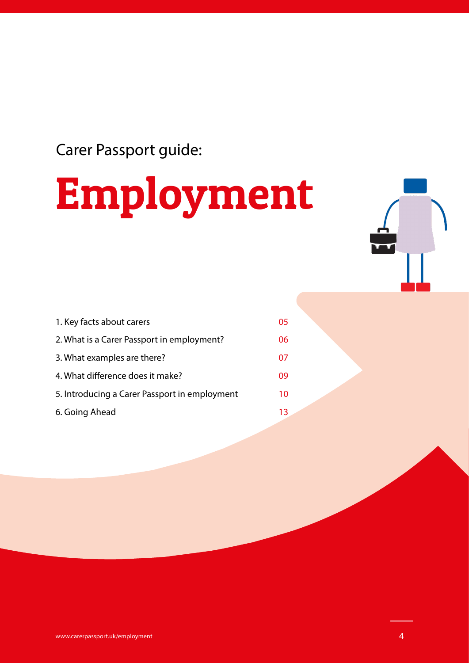Carer Passport guide:

# Employment

| 1. Key facts about carers                     | 05. |
|-----------------------------------------------|-----|
| 2. What is a Carer Passport in employment?    | 06  |
| 3. What examples are there?                   | 07  |
| 4. What difference does it make?              | 09  |
| 5. Introducing a Carer Passport in employment | 10  |
| 6. Going Ahead                                | 13. |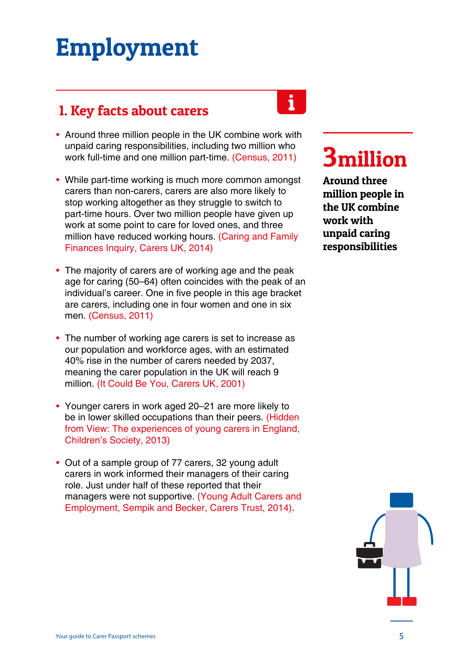# Employment

# 1. Key facts about carers



- Around three million people in the UK combine work with unpaid caring responsibilities, including two million who work full-time and one million part-time. (Census, 2011)
- While part-time working is much more common amongst carers than non-carers, carers are also more likely to stop working altogether as they struggle to switch to part-time hours. Over two million people have given up work at some point to care for loved ones, and three million have reduced working hours. (Caring and Family Finances Inquiry, Carers UK, 2014)
- The majority of carers are of working age and the peak age for caring (50–64) often coincides with the peak of an individual's career. One in five people in this age bracket are carers, including one in four women and one in six men. (Census, 2011)
- The number of working age carers is set to increase as our population and workforce ages, with an estimated 40% rise in the number of carers needed by 2037, meaning the carer population in the UK will reach 9 million. (It Could Be You, Carers UK, 2001)
- Younger carers in work aged 20–21 are more likely to be in lower skilled occupations than their peers. (Hidden from View: The experiences of young carers in England, Children's Society, 2013)
- Out of a sample group of 77 carers, 32 young adult carers in work informed their managers of their caring role. Just under half of these reported that their managers were not supportive. (Young Adult Carers and Employment, Sempik and Becker, Carers Trust, 2014).

# 3million

Around three million people in the UK combine work with unpaid caring responsibilities

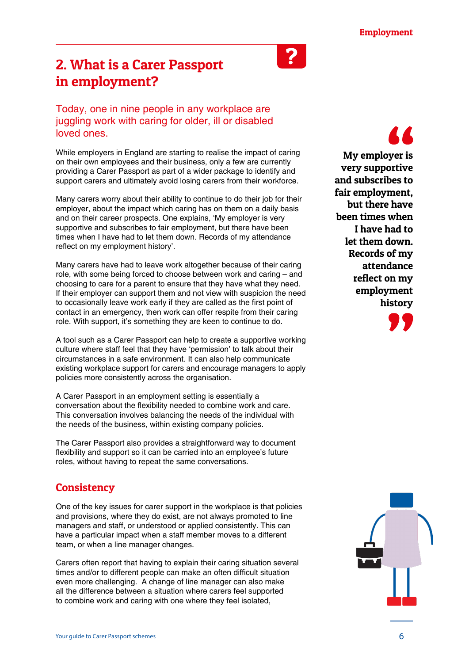# 2. What is a Carer Passport in employment?

Today, one in nine people in any workplace are juggling work with caring for older, ill or disabled loved ones.

While employers in England are starting to realise the impact of caring on their own employees and their business, only a few are currently providing a Carer Passport as part of a wider package to identify and support carers and ultimately avoid losing carers from their workforce.

Many carers worry about their ability to continue to do their job for their employer, about the impact which caring has on them on a daily basis and on their career prospects. One explains, 'My employer is very supportive and subscribes to fair employment, but there have been times when I have had to let them down. Records of my attendance reflect on my employment history'.

Many carers have had to leave work altogether because of their caring role, with some being forced to choose between work and caring – and choosing to care for a parent to ensure that they have what they need. If their employer can support them and not view with suspicion the need to occasionally leave work early if they are called as the first point of contact in an emergency, then work can offer respite from their caring role. With support, it's something they are keen to continue to do.

A tool such as a Carer Passport can help to create a supportive working culture where staff feel that they have 'permission' to talk about their circumstances in a safe environment. It can also help communicate existing workplace support for carers and encourage managers to apply policies more consistently across the organisation.

A Carer Passport in an employment setting is essentially a conversation about the flexibility needed to combine work and care. This conversation involves balancing the needs of the individual with the needs of the business, within existing company policies.

The Carer Passport also provides a straightforward way to document flexibility and support so it can be carried into an employee's future roles, without having to repeat the same conversations.

### **Consistency**

One of the key issues for carer support in the workplace is that policies and provisions, where they do exist, are not always promoted to line managers and staff, or understood or applied consistently. This can have a particular impact when a staff member moves to a different team, or when a line manager changes.

Carers often report that having to explain their caring situation several times and/or to different people can make an often difficult situation even more challenging. A change of line manager can also make all the difference between a situation where carers feel supported to combine work and caring with one where they feel isolated,

My employer is very supportive and subscribes to fair employment, but there have been times when I have had to let them down. Records of my attendance reflect on my employment history



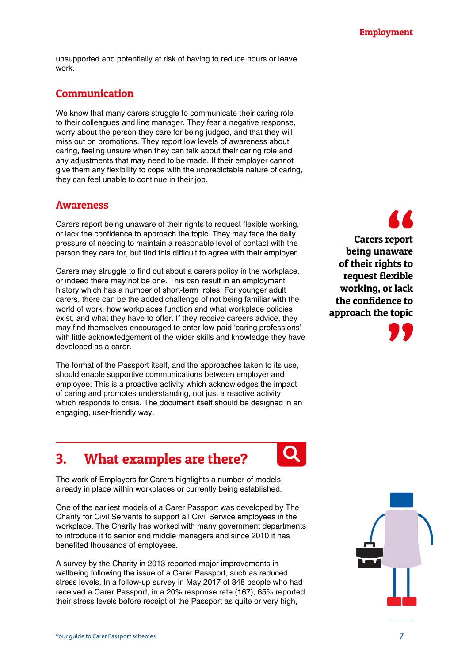unsupported and potentially at risk of having to reduce hours or leave work.

#### Communication

We know that many carers struggle to communicate their caring role to their colleagues and line manager. They fear a negative response, worry about the person they care for being judged, and that they will miss out on promotions. They report low levels of awareness about caring, feeling unsure when they can talk about their caring role and any adjustments that may need to be made. If their employer cannot give them any flexibility to cope with the unpredictable nature of caring, they can feel unable to continue in their job.

#### Awareness

Carers report being unaware of their rights to request flexible working, or lack the confidence to approach the topic. They may face the daily pressure of needing to maintain a reasonable level of contact with the person they care for, but find this difficult to agree with their employer.

Carers may struggle to find out about a carers policy in the workplace, or indeed there may not be one. This can result in an employment history which has a number of short-term roles. For younger adult carers, there can be the added challenge of not being familiar with the world of work, how workplaces function and what workplace policies exist, and what they have to offer. If they receive careers advice, they may find themselves encouraged to enter low-paid 'caring professions' with little acknowledgement of the wider skills and knowledge they have developed as a carer.

The format of the Passport itself, and the approaches taken to its use, should enable supportive communications between employer and employee. This is a proactive activity which acknowledges the impact of caring and promotes understanding, not just a reactive activity which responds to crisis. The document itself should be designed in an engaging, user-friendly way.

Carers report being unaware of their rights to request flexible working, or lack the confidence to approach the topic



# 3. What examples are there?



The work of Employers for Carers highlights a number of models already in place within workplaces or currently being established.

One of the earliest models of a Carer Passport was developed by The Charity for Civil Servants to support all Civil Service employees in the workplace. The Charity has worked with many government departments to introduce it to senior and middle managers and since 2010 it has benefited thousands of employees.

A survey by the Charity in 2013 reported major improvements in wellbeing following the issue of a Carer Passport, such as reduced stress levels. In a follow-up survey in May 2017 of 848 people who had received a Carer Passport, in a 20% response rate (167), 65% reported their stress levels before receipt of the Passport as quite or very high,

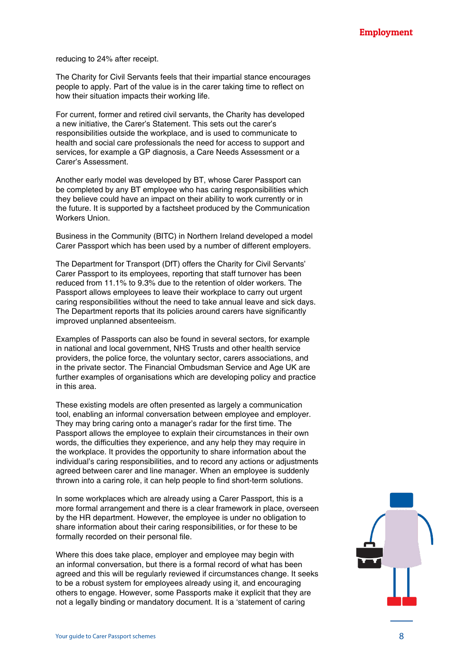reducing to 24% after receipt.

The Charity for Civil Servants feels that their impartial stance encourages people to apply. Part of the value is in the carer taking time to reflect on how their situation impacts their working life.

For current, former and retired civil servants, the Charity has developed a new initiative, the Carer's Statement. This sets out the carer's responsibilities outside the workplace, and is used to communicate to health and social care professionals the need for access to support and services, for example a GP diagnosis, a Care Needs Assessment or a Carer's Assessment.

Another early model was developed by BT, whose Carer Passport can be completed by any BT employee who has caring responsibilities which they believe could have an impact on their ability to work currently or in the future. It is supported by a factsheet produced by the Communication Workers Union.

Business in the Community (BITC) in Northern Ireland developed a model Carer Passport which has been used by a number of different employers.

The Department for Transport (DfT) offers the Charity for Civil Servants' Carer Passport to its employees, reporting that staff turnover has been reduced from 11.1% to 9.3% due to the retention of older workers. The Passport allows employees to leave their workplace to carry out urgent caring responsibilities without the need to take annual leave and sick days. The Department reports that its policies around carers have significantly improved unplanned absenteeism.

Examples of Passports can also be found in several sectors, for example in national and local government, NHS Trusts and other health service providers, the police force, the voluntary sector, carers associations, and in the private sector. The Financial Ombudsman Service and Age UK are further examples of organisations which are developing policy and practice in this area.

These existing models are often presented as largely a communication tool, enabling an informal conversation between employee and employer. They may bring caring onto a manager's radar for the first time. The Passport allows the employee to explain their circumstances in their own words, the difficulties they experience, and any help they may require in the workplace. It provides the opportunity to share information about the individual's caring responsibilities, and to record any actions or adjustments agreed between carer and line manager. When an employee is suddenly thrown into a caring role, it can help people to find short-term solutions.

In some workplaces which are already using a Carer Passport, this is a more formal arrangement and there is a clear framework in place, overseen by the HR department. However, the employee is under no obligation to share information about their caring responsibilities, or for these to be formally recorded on their personal file.

Where this does take place, employer and employee may begin with an informal conversation, but there is a formal record of what has been agreed and this will be regularly reviewed if circumstances change. It seeks to be a robust system for employees already using it, and encouraging others to engage. However, some Passports make it explicit that they are not a legally binding or mandatory document. It is a 'statement of caring

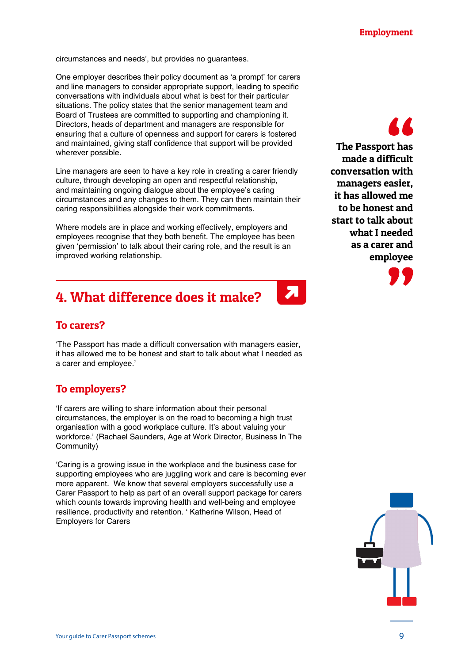circumstances and needs', but provides no guarantees.

One employer describes their policy document as 'a prompt' for carers and line managers to consider appropriate support, leading to specific conversations with individuals about what is best for their particular situations. The policy states that the senior management team and Board of Trustees are committed to supporting and championing it. Directors, heads of department and managers are responsible for ensuring that a culture of openness and support for carers is fostered and maintained, giving staff confidence that support will be provided wherever possible.

Line managers are seen to have a key role in creating a carer friendly culture, through developing an open and respectful relationship, and maintaining ongoing dialogue about the employee's caring circumstances and any changes to them. They can then maintain their caring responsibilities alongside their work commitments.

Where models are in place and working effectively, employers and employees recognise that they both benefit. The employee has been given 'permission' to talk about their caring role, and the result is an improved working relationship.

# 4. What difference does it make?



'The Passport has made a difficult conversation with managers easier, it has allowed me to be honest and start to talk about what I needed as a carer and employee.'

## To employers?

'If carers are willing to share information about their personal circumstances, the employer is on the road to becoming a high trust organisation with a good workplace culture. It's about valuing your workforce.' (Rachael Saunders, Age at Work Director, Business In The Community)

'Caring is a growing issue in the workplace and the business case for supporting employees who are juggling work and care is becoming ever more apparent. We know that several employers successfully use a Carer Passport to help as part of an overall support package for carers which counts towards improving health and well-being and employee resilience, productivity and retention. ' Katherine Wilson, Head of Employers for Carers

The Passport has made a difficult conversation with managers easier, it has allowed me to be honest and start to talk about what I needed as a carer and employee

 $\boldsymbol{\Sigma}$ 



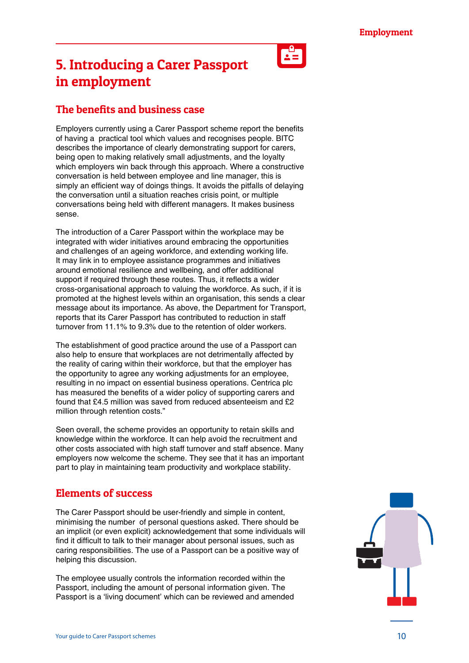# 5. Introducing a Carer Passport in employment

#### The benefits and business case

Employers currently using a Carer Passport scheme report the benefits of having a practical tool which values and recognises people. BITC describes the importance of clearly demonstrating support for carers, being open to making relatively small adjustments, and the loyalty which employers win back through this approach. Where a constructive conversation is held between employee and line manager, this is simply an efficient way of doings things. It avoids the pitfalls of delaying the conversation until a situation reaches crisis point, or multiple conversations being held with different managers. It makes business sense.

The introduction of a Carer Passport within the workplace may be integrated with wider initiatives around embracing the opportunities and challenges of an ageing workforce, and extending working life. It may link in to employee assistance programmes and initiatives around emotional resilience and wellbeing, and offer additional support if required through these routes. Thus, it reflects a wider cross-organisational approach to valuing the workforce. As such, if it is promoted at the highest levels within an organisation, this sends a clear message about its importance. As above, the Department for Transport, reports that its Carer Passport has contributed to reduction in staff turnover from 11.1% to 9.3% due to the retention of older workers.

The establishment of good practice around the use of a Passport can also help to ensure that workplaces are not detrimentally affected by the reality of caring within their workforce, but that the employer has the opportunity to agree any working adjustments for an employee, resulting in no impact on essential business operations. Centrica plc has measured the benefits of a wider policy of supporting carers and found that £4.5 million was saved from reduced absenteeism and £2 million through retention costs."

Seen overall, the scheme provides an opportunity to retain skills and knowledge within the workforce. It can help avoid the recruitment and other costs associated with high staff turnover and staff absence. Many employers now welcome the scheme. They see that it has an important part to play in maintaining team productivity and workplace stability.

### Elements of success

The Carer Passport should be user-friendly and simple in content, minimising the number of personal questions asked. There should be an implicit (or even explicit) acknowledgement that some individuals will find it difficult to talk to their manager about personal issues, such as caring responsibilities. The use of a Passport can be a positive way of helping this discussion.

The employee usually controls the information recorded within the Passport, including the amount of personal information given. The Passport is a 'living document' which can be reviewed and amended

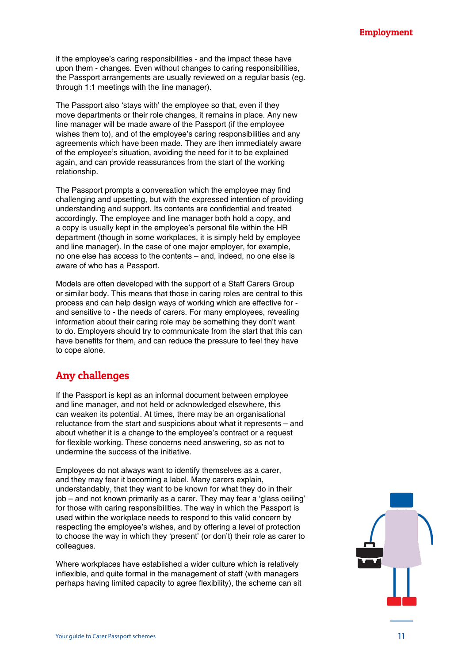if the employee's caring responsibilities - and the impact these have upon them - changes. Even without changes to caring responsibilities, the Passport arrangements are usually reviewed on a regular basis (eg. through 1:1 meetings with the line manager).

The Passport also 'stays with' the employee so that, even if they move departments or their role changes, it remains in place. Any new line manager will be made aware of the Passport (if the employee wishes them to), and of the employee's caring responsibilities and any agreements which have been made. They are then immediately aware of the employee's situation, avoiding the need for it to be explained again, and can provide reassurances from the start of the working relationship.

The Passport prompts a conversation which the employee may find challenging and upsetting, but with the expressed intention of providing understanding and support. Its contents are confidential and treated accordingly. The employee and line manager both hold a copy, and a copy is usually kept in the employee's personal file within the HR department (though in some workplaces, it is simply held by employee and line manager). In the case of one major employer, for example, no one else has access to the contents – and, indeed, no one else is aware of who has a Passport.

Models are often developed with the support of a Staff Carers Group or similar body. This means that those in caring roles are central to this process and can help design ways of working which are effective for and sensitive to - the needs of carers. For many employees, revealing information about their caring role may be something they don't want to do. Employers should try to communicate from the start that this can have benefits for them, and can reduce the pressure to feel they have to cope alone.

## Any challenges

If the Passport is kept as an informal document between employee and line manager, and not held or acknowledged elsewhere, this can weaken its potential. At times, there may be an organisational reluctance from the start and suspicions about what it represents – and about whether it is a change to the employee's contract or a request for flexible working. These concerns need answering, so as not to undermine the success of the initiative.

Employees do not always want to identify themselves as a carer, and they may fear it becoming a label. Many carers explain, understandably, that they want to be known for what they do in their job – and not known primarily as a carer. They may fear a 'glass ceiling' for those with caring responsibilities. The way in which the Passport is used within the workplace needs to respond to this valid concern by respecting the employee's wishes, and by offering a level of protection to choose the way in which they 'present' (or don't) their role as carer to colleagues.

Where workplaces have established a wider culture which is relatively inflexible, and quite formal in the management of staff (with managers perhaps having limited capacity to agree flexibility), the scheme can sit

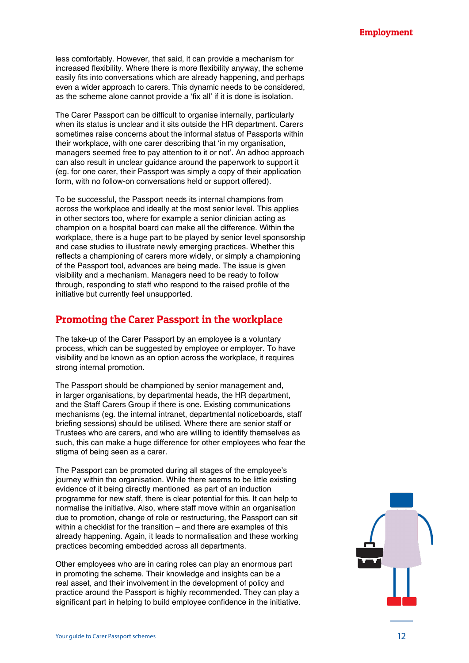less comfortably. However, that said, it can provide a mechanism for increased flexibility. Where there is more flexibility anyway, the scheme easily fits into conversations which are already happening, and perhaps even a wider approach to carers. This dynamic needs to be considered, as the scheme alone cannot provide a 'fix all' if it is done is isolation.

The Carer Passport can be difficult to organise internally, particularly when its status is unclear and it sits outside the HR department. Carers sometimes raise concerns about the informal status of Passports within their workplace, with one carer describing that 'in my organisation, managers seemed free to pay attention to it or not'. An adhoc approach can also result in unclear guidance around the paperwork to support it (eg. for one carer, their Passport was simply a copy of their application form, with no follow-on conversations held or support offered).

To be successful, the Passport needs its internal champions from across the workplace and ideally at the most senior level. This applies in other sectors too, where for example a senior clinician acting as champion on a hospital board can make all the difference. Within the workplace, there is a huge part to be played by senior level sponsorship and case studies to illustrate newly emerging practices. Whether this reflects a championing of carers more widely, or simply a championing of the Passport tool, advances are being made. The issue is given visibility and a mechanism. Managers need to be ready to follow through, responding to staff who respond to the raised profile of the initiative but currently feel unsupported.

#### Promoting the Carer Passport in the workplace

The take-up of the Carer Passport by an employee is a voluntary process, which can be suggested by employee or employer. To have visibility and be known as an option across the workplace, it requires strong internal promotion.

The Passport should be championed by senior management and, in larger organisations, by departmental heads, the HR department, and the Staff Carers Group if there is one. Existing communications mechanisms (eg. the internal intranet, departmental noticeboards, staff briefing sessions) should be utilised. Where there are senior staff or Trustees who are carers, and who are willing to identify themselves as such, this can make a huge difference for other employees who fear the stigma of being seen as a carer.

The Passport can be promoted during all stages of the employee's journey within the organisation. While there seems to be little existing evidence of it being directly mentioned as part of an induction programme for new staff, there is clear potential for this. It can help to normalise the initiative. Also, where staff move within an organisation due to promotion, change of role or restructuring, the Passport can sit within a checklist for the transition – and there are examples of this already happening. Again, it leads to normalisation and these working practices becoming embedded across all departments.

Other employees who are in caring roles can play an enormous part in promoting the scheme. Their knowledge and insights can be a real asset, and their involvement in the development of policy and practice around the Passport is highly recommended. They can play a significant part in helping to build employee confidence in the initiative.

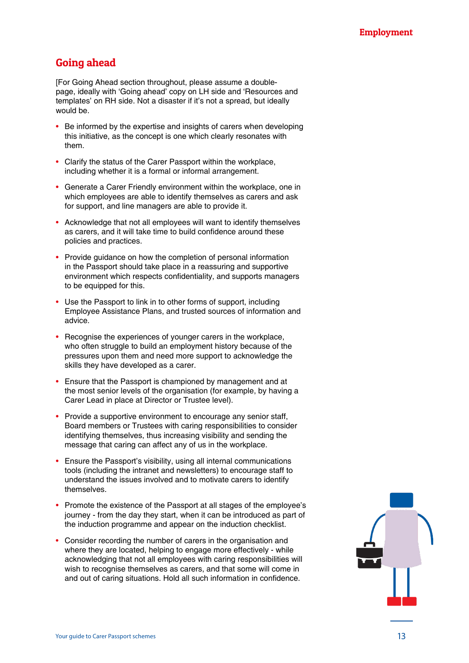### Going ahead

[For Going Ahead section throughout, please assume a doublepage, ideally with 'Going ahead' copy on LH side and 'Resources and templates' on RH side. Not a disaster if it's not a spread, but ideally would be.

- Be informed by the expertise and insights of carers when developing this initiative, as the concept is one which clearly resonates with them.
- Clarify the status of the Carer Passport within the workplace, including whether it is a formal or informal arrangement.
- Generate a Carer Friendly environment within the workplace, one in which employees are able to identify themselves as carers and ask for support, and line managers are able to provide it.
- Acknowledge that not all employees will want to identify themselves as carers, and it will take time to build confidence around these policies and practices.
- Provide guidance on how the completion of personal information in the Passport should take place in a reassuring and supportive environment which respects confidentiality, and supports managers to be equipped for this.
- Use the Passport to link in to other forms of support, including Employee Assistance Plans, and trusted sources of information and advice.
- Recognise the experiences of younger carers in the workplace, who often struggle to build an employment history because of the pressures upon them and need more support to acknowledge the skills they have developed as a carer.
- Ensure that the Passport is championed by management and at the most senior levels of the organisation (for example, by having a Carer Lead in place at Director or Trustee level).
- Provide a supportive environment to encourage any senior staff, Board members or Trustees with caring responsibilities to consider identifying themselves, thus increasing visibility and sending the message that caring can affect any of us in the workplace.
- Ensure the Passport's visibility, using all internal communications tools (including the intranet and newsletters) to encourage staff to understand the issues involved and to motivate carers to identify themselves.
- Promote the existence of the Passport at all stages of the employee's journey - from the day they start, when it can be introduced as part of the induction programme and appear on the induction checklist.
- Consider recording the number of carers in the organisation and where they are located, helping to engage more effectively - while acknowledging that not all employees with caring responsibilities will wish to recognise themselves as carers, and that some will come in and out of caring situations. Hold all such information in confidence.